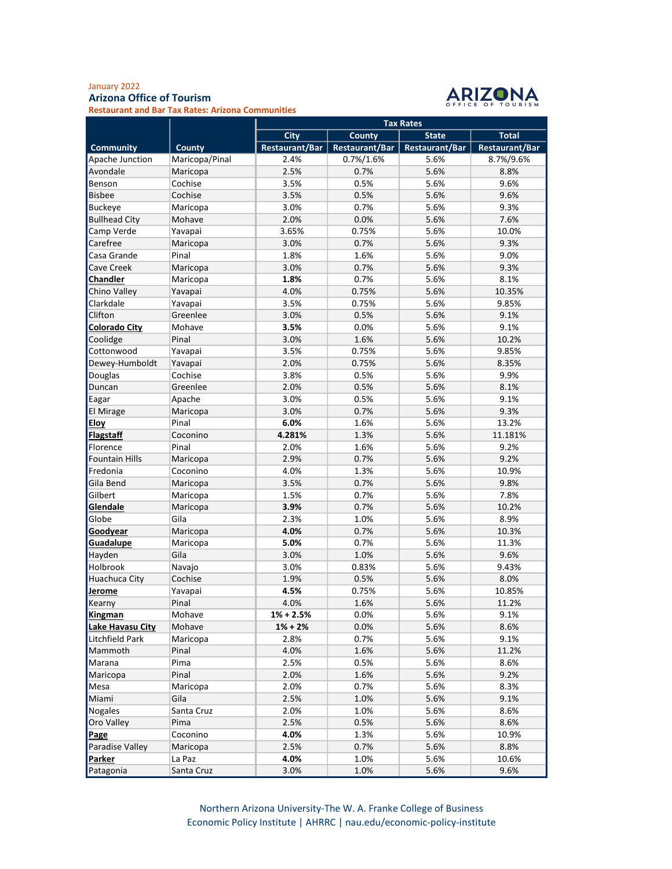## January 2022 Arizona Office of Tourism



Restaurant and Bar Tax Rates: Arizona Communities

|                        |                | <b>Tax Rates</b>      |                       |                       |                       |  |
|------------------------|----------------|-----------------------|-----------------------|-----------------------|-----------------------|--|
|                        |                | <b>City</b>           | <b>County</b>         | <b>State</b>          | <b>Total</b>          |  |
| <b>Community</b>       | County         | <b>Restaurant/Bar</b> | <b>Restaurant/Bar</b> | <b>Restaurant/Bar</b> | <b>Restaurant/Bar</b> |  |
| Apache Junction        | Maricopa/Pinal | 2.4%                  | 0.7%/1.6%             | 5.6%                  | 8.7%/9.6%             |  |
| Avondale               | Maricopa       | 2.5%                  | 0.7%                  | 5.6%                  | 8.8%                  |  |
| Benson                 | Cochise        | 3.5%                  | 0.5%                  | 5.6%                  | 9.6%                  |  |
| <b>Bisbee</b>          | Cochise        | 3.5%                  | 0.5%                  | 5.6%                  | 9.6%                  |  |
| <b>Buckeye</b>         | Maricopa       | 3.0%                  | 0.7%                  | 5.6%                  | 9.3%                  |  |
| <b>Bullhead City</b>   | Mohave         | 2.0%                  | 0.0%                  | 5.6%                  | 7.6%                  |  |
| Camp Verde             | Yavapai        | 3.65%                 | 0.75%                 | 5.6%                  | 10.0%                 |  |
| Carefree               | Maricopa       | 3.0%                  | 0.7%                  | 5.6%                  | 9.3%                  |  |
| Casa Grande            | Pinal          | 1.8%                  | 1.6%                  | 5.6%                  | 9.0%                  |  |
| Cave Creek             | Maricopa       | 3.0%                  | 0.7%                  | 5.6%                  | 9.3%                  |  |
| Chandler               | Maricopa       | 1.8%                  | 0.7%                  | 5.6%                  | 8.1%                  |  |
| Chino Valley           | Yavapai        | 4.0%                  | 0.75%                 | 5.6%                  | 10.35%                |  |
| Clarkdale              | Yavapai        | 3.5%                  | 0.75%                 | 5.6%                  | 9.85%                 |  |
| Clifton                | Greenlee       | 3.0%                  | 0.5%                  | 5.6%                  | 9.1%                  |  |
| <b>Colorado City</b>   | Mohave         | 3.5%                  | 0.0%                  | 5.6%                  | 9.1%                  |  |
| Coolidge               | Pinal          | 3.0%                  | 1.6%                  | 5.6%                  | 10.2%                 |  |
| Cottonwood             | Yavapai        | 3.5%                  | 0.75%                 | 5.6%                  | 9.85%                 |  |
| Dewey-Humboldt         | Yavapai        | 2.0%                  | 0.75%                 | 5.6%                  | 8.35%                 |  |
| Douglas                | Cochise        | 3.8%                  | 0.5%                  | 5.6%                  | 9.9%                  |  |
| Duncan                 | Greenlee       | 2.0%                  | 0.5%                  | 5.6%                  | 8.1%                  |  |
| Eagar                  | Apache         | 3.0%                  | 0.5%                  | 5.6%                  | 9.1%                  |  |
| El Mirage              | Maricopa       | 3.0%                  | 0.7%                  | 5.6%                  | 9.3%                  |  |
| <b>Eloy</b>            | Pinal          | 6.0%                  | 1.6%                  | 5.6%                  | 13.2%                 |  |
| <b>Flagstaff</b>       | Coconino       | 4.281%                | 1.3%                  | 5.6%                  | 11.181%               |  |
| Florence               | Pinal          | 2.0%                  | 1.6%                  | 5.6%                  | 9.2%                  |  |
| <b>Fountain Hills</b>  | Maricopa       | 2.9%                  | 0.7%                  | 5.6%                  | 9.2%                  |  |
| Fredonia               | Coconino       | 4.0%                  | 1.3%                  | 5.6%                  | 10.9%                 |  |
| Gila Bend              | Maricopa       | 3.5%                  | 0.7%                  | 5.6%                  | 9.8%                  |  |
| Gilbert                | Maricopa       | 1.5%                  | 0.7%                  | 5.6%                  | 7.8%                  |  |
| Glendale               | Maricopa       | 3.9%                  | 0.7%                  | 5.6%                  | 10.2%                 |  |
| Globe                  | Gila           | 2.3%                  | 1.0%                  | 5.6%                  | 8.9%                  |  |
| Goodyear               | Maricopa       | 4.0%                  | 0.7%                  | 5.6%                  | 10.3%                 |  |
| <b>Guadalupe</b>       | Maricopa       | 5.0%                  | 0.7%                  | 5.6%                  | 11.3%                 |  |
| Hayden                 | Gila           | 3.0%                  | 1.0%                  | 5.6%                  | 9.6%                  |  |
| Holbrook               | Navajo         | 3.0%                  | 0.83%                 | 5.6%                  | 9.43%                 |  |
| Huachuca City          | Cochise        | 1.9%                  | 0.5%                  | 5.6%                  | 8.0%                  |  |
| Jerome                 | Yavapai        | 4.5%                  | 0.75%                 | 5.6%                  | 10.85%                |  |
| Kearny                 | Pinal          | 4.0%                  | 1.6%                  | 5.6%                  | 11.2%                 |  |
| <b>Kingman</b>         | Mohave         | $1\% + 2.5\%$         | 0.0%                  | 5.6%                  | 9.1%                  |  |
| Lake Havasu City       | Mohave         | $1\% + 2\%$           | 0.0%                  | 5.6%                  | 8.6%                  |  |
| Litchfield Park        | Maricopa       | 2.8%                  | 0.7%                  | 5.6%                  | 9.1%                  |  |
| Mammoth                | Pinal          | 4.0%                  | 1.6%                  | 5.6%                  | 11.2%                 |  |
| Marana                 | Pima           | 2.5%                  | 0.5%                  | 5.6%                  | 8.6%                  |  |
| Maricopa               | Pinal          | 2.0%                  | 1.6%                  | 5.6%                  | 9.2%                  |  |
| Mesa                   | Maricopa       | 2.0%                  | 0.7%                  | 5.6%                  | 8.3%                  |  |
| Miami                  | Gila           | 2.5%                  | 1.0%                  | 5.6%                  | 9.1%                  |  |
| <b>Nogales</b>         | Santa Cruz     | 2.0%                  | 1.0%                  | 5.6%                  | 8.6%                  |  |
| Oro Valley             | Pima           | 2.5%                  | 0.5%                  | 5.6%                  | 8.6%                  |  |
| Page                   | Coconino       | 4.0%                  | 1.3%                  | 5.6%                  | 10.9%                 |  |
| <b>Paradise Valley</b> | Maricopa       | 2.5%                  | 0.7%                  | 5.6%                  | 8.8%                  |  |
| Parker                 | La Paz         | 4.0%                  | 1.0%                  | 5.6%                  | 10.6%                 |  |
| Patagonia              | Santa Cruz     | 3.0%                  | 1.0%                  | 5.6%                  | 9.6%                  |  |

Northern Arizona University-The W. A. Franke College of Business Economic Policy Institute | AHRRC | nau.edu/economic-policy-institute